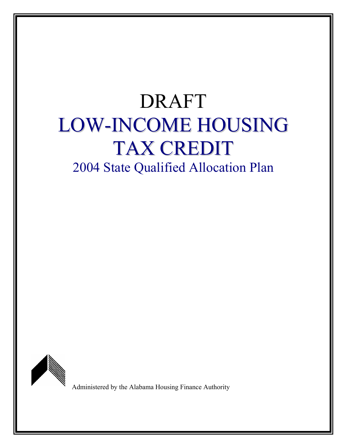# DRAFT LOW-INCOME HOUSING TAX CREDIT 2004 State Qualified Allocation Plan



Administered by the Alabama Housing Finance Authority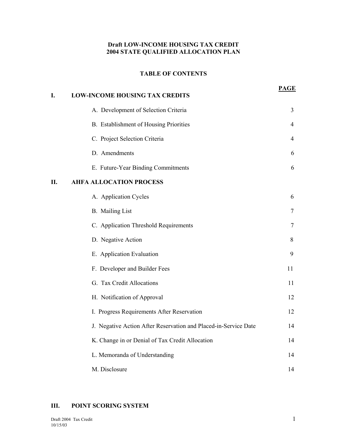#### **Draft LOW-INCOME HOUSING TAX CREDIT 2004 STATE QUALIFIED ALLOCATION PLAN**

#### **TABLE OF CONTENTS**

| I. | <b>LOW-INCOME HOUSING TAX CREDITS</b>                           | <b>PAGE</b> |
|----|-----------------------------------------------------------------|-------------|
|    | A. Development of Selection Criteria                            | 3           |
|    | B. Establishment of Housing Priorities                          | 4           |
|    | C. Project Selection Criteria                                   | 4           |
|    | D. Amendments                                                   | 6           |
|    | E. Future-Year Binding Commitments                              | 6           |
| П. | <b>AHFA ALLOCATION PROCESS</b>                                  |             |
|    | A. Application Cycles                                           | 6           |
|    | <b>B.</b> Mailing List                                          | 7           |
|    | C. Application Threshold Requirements                           | 7           |
|    | D. Negative Action                                              | 8           |
|    | E. Application Evaluation                                       | 9           |
|    | F. Developer and Builder Fees                                   | 11          |
|    | G. Tax Credit Allocations                                       | 11          |
|    | H. Notification of Approval                                     | 12          |
|    | I. Progress Requirements After Reservation                      | 12          |
|    | J. Negative Action After Reservation and Placed-in-Service Date | 14          |
|    | K. Change in or Denial of Tax Credit Allocation                 | 14          |
|    | L. Memoranda of Understanding                                   | 14          |
|    | M. Disclosure                                                   | 14          |

#### **III. POINT SCORING SYSTEM**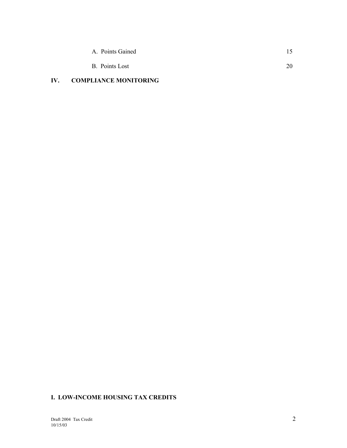| A. Points Gained |    |
|------------------|----|
| B. Points Lost   | 20 |

# **IV. COMPLIANCE MONITORING**

# **I. LOW-INCOME HOUSING TAX CREDITS**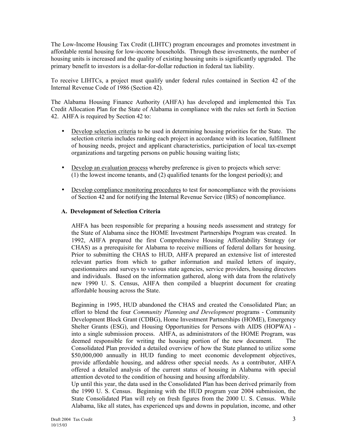The Low-Income Housing Tax Credit (LIHTC) program encourages and promotes investment in affordable rental housing for low-income households. Through these investments, the number of housing units is increased and the quality of existing housing units is significantly upgraded. The primary benefit to investors is a dollar-for-dollar reduction in federal tax liability.

To receive LIHTCs, a project must qualify under federal rules contained in Section 42 of the Internal Revenue Code of 1986 (Section 42).

The Alabama Housing Finance Authority (AHFA) has developed and implemented this Tax Credit Allocation Plan for the State of Alabama in compliance with the rules set forth in Section 42. AHFA is required by Section 42 to:

- Develop selection criteria to be used in determining housing priorities for the State. The selection criteria includes ranking each project in accordance with its location, fulfillment of housing needs, project and applicant characteristics, participation of local tax-exempt organizations and targeting persons on public housing waiting lists;
- Develop an evaluation process whereby preference is given to projects which serve: (1) the lowest income tenants, and (2) qualified tenants for the longest period(s); and
- Develop compliance monitoring procedures to test for noncompliance with the provisions of Section 42 and for notifying the Internal Revenue Service (IRS) of noncompliance.

#### **A. Development of Selection Criteria**

AHFA has been responsible for preparing a housing needs assessment and strategy for the State of Alabama since the HOME Investment Partnerships Program was created. In 1992, AHFA prepared the first Comprehensive Housing Affordability Strategy (or CHAS) as a prerequisite for Alabama to receive millions of federal dollars for housing. Prior to submitting the CHAS to HUD, AHFA prepared an extensive list of interested relevant parties from which to gather information and mailed letters of inquiry, questionnaires and surveys to various state agencies, service providers, housing directors and individuals. Based on the information gathered, along with data from the relatively new 1990 U. S. Census, AHFA then compiled a blueprint document for creating affordable housing across the State.

Beginning in 1995, HUD abandoned the CHAS and created the Consolidated Plan; an effort to blend the four *Community Planning and Development* programs - Community Development Block Grant (CDBG), Home Investment Partnerships (HOME), Emergency Shelter Grants (ESG), and Housing Opportunities for Persons with AIDS (HOPWA) into a single submission process. AHFA, as administrators of the HOME Program, was deemed responsible for writing the housing portion of the new document. The Consolidated Plan provided a detailed overview of how the State planned to utilize some \$50,000,000 annually in HUD funding to meet economic development objectives, provide affordable housing, and address other special needs. As a contributor, AHFA offered a detailed analysis of the current status of housing in Alabama with special attention devoted to the condition of housing and housing affordability.

Up until this year, the data used in the Consolidated Plan has been derived primarily from the 1990 U. S. Census. Beginning with the HUD program year 2004 submission, the State Consolidated Plan will rely on fresh figures from the 2000 U. S. Census. While Alabama, like all states, has experienced ups and downs in population, income, and other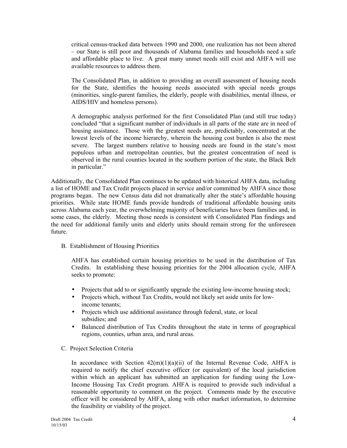critical census-tracked data between 1990 and 2000, one realization has not been altered ñ our State is still poor and thousands of Alabama families and households need a safe and affordable place to live. A great many unmet needs still exist and AHFA will use available resources to address them.

The Consolidated Plan, in addition to providing an overall assessment of housing needs for the State, identifies the housing needs associated with special needs groups (minorities, single-parent families, the elderly, people with disabilities, mental illness, or AIDS/HIV and homeless persons).

A demographic analysis performed for the first Consolidated Plan (and still true today) concluded "that a significant number of individuals in all parts of the state are in need of housing assistance. Those with the greatest needs are, predictably, concentrated at the lowest levels of the income hierarchy, wherein the housing cost burden is also the most severe. The largest numbers relative to housing needs are found in the state's most populous urban and metropolitan counties, but the greatest concentration of need is observed in the rural counties located in the southern portion of the state, the Black Belt in particular."

Additionally, the Consolidated Plan continues to be updated with historical AHFA data, including a list of HOME and Tax Credit projects placed in service and/or committed by AHFA since those programs began. The new Census data did not dramatically alter the state's affordable housing priorities. While state HOME funds provide hundreds of traditional affordable housing units across Alabama each year, the overwhelming majority of beneficiaries have been families and, in some cases, the elderly. Meeting those needs is consistent with Consolidated Plan findings and the need for additional family units and elderly units should remain strong for the unforeseen future.

B. Establishment of Housing Priorities

AHFA has established certain housing priorities to be used in the distribution of Tax Credits. In establishing these housing priorities for the 2004 allocation cycle, AHFA seeks to promote:

- Projects that add to or significantly upgrade the existing low-income housing stock;
- Projects which, without Tax Credits, would not likely set aside units for lowincome tenants;
- Projects which use additional assistance through federal, state, or local subsidies; and
- Balanced distribution of Tax Credits throughout the state in terms of geographical regions, counties, urban area, and rural areas.
- C. Project Selection Criteria

In accordance with Section  $42(m)(1)(a)(ii)$  of the Internal Revenue Code, AHFA is required to notify the chief executive officer (or equivalent) of the local jurisdiction within which an applicant has submitted an application for funding using the Low-Income Housing Tax Credit program. AHFA is required to provide such individual a reasonable opportunity to comment on the project. Comments made by the executive officer will be considered by AHFA, along with other market information, to determine the feasibility or viability of the project.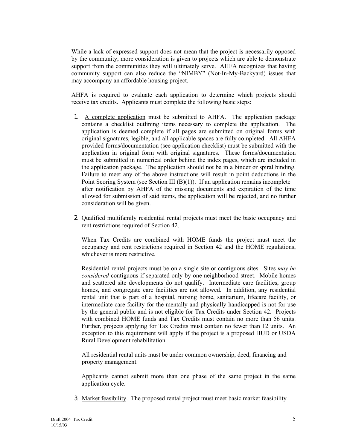While a lack of expressed support does not mean that the project is necessarily opposed by the community, more consideration is given to projects which are able to demonstrate support from the communities they will ultimately serve. AHFA recognizes that having community support can also reduce the "NIMBY" (Not-In-My-Backyard) issues that may accompany an affordable housing project.

AHFA is required to evaluate each application to determine which projects should receive tax credits. Applicants must complete the following basic steps:

- 1. A complete application must be submitted to AHFA. The application package contains a checklist outlining items necessary to complete the application. The application is deemed complete if all pages are submitted on original forms with original signatures, legible, and all applicable spaces are fully completed. All AHFA provided forms/documentation (see application checklist) must be submitted with the application in original form with original signatures. These forms/documentation must be submitted in numerical order behind the index pages, which are included in the application package. The application should not be in a binder or spiral binding. Failure to meet any of the above instructions will result in point deductions in the Point Scoring System (see Section III (B)(1)). If an application remains incomplete after notification by AHFA of the missing documents and expiration of the time allowed for submission of said items, the application will be rejected, and no further consideration will be given.
- 2. Qualified multifamily residential rental projects must meet the basic occupancy and rent restrictions required of Section 42.

When Tax Credits are combined with HOME funds the project must meet the occupancy and rent restrictions required in Section 42 and the HOME regulations, whichever is more restrictive.

Residential rental projects must be on a single site or contiguous sites. Sites *may be considered* contiguous if separated only by one neighborhood street. Mobile homes and scattered site developments do not qualify. Intermediate care facilities, group homes, and congregate care facilities are not allowed. In addition, any residential rental unit that is part of a hospital, nursing home, sanitarium, lifecare facility, or intermediate care facility for the mentally and physically handicapped is not for use by the general public and is not eligible for Tax Credits under Section 42. Projects with combined HOME funds and Tax Credits must contain no more than 56 units. Further, projects applying for Tax Credits must contain no fewer than 12 units. An exception to this requirement will apply if the project is a proposed HUD or USDA Rural Development rehabilitation.

 All residential rental units must be under common ownership, deed, financing and property management.

Applicants cannot submit more than one phase of the same project in the same application cycle.

3. Market feasibility. The proposed rental project must meet basic market feasibility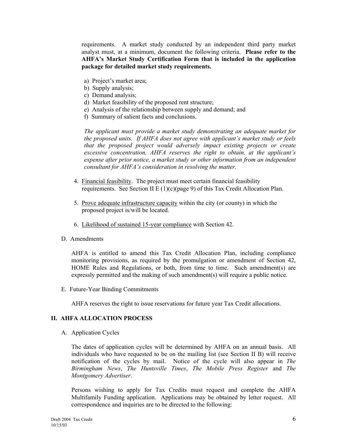requirements. A market study conducted by an independent third party market analyst must, at a minimum, document the following criteria. **Please refer to the AHFAís Market Study Certification Form that is included in the application package for detailed market study requirements.**

- a) Project's market area;
- b) Supply analysis;
- c) Demand analysis;
- d) Market feasibility of the proposed rent structure;
- e) Analysis of the relationship between supply and demand; and
- f) Summary of salient facts and conclusions.

*The applicant must provide a market study demonstrating an adequate market for the proposed units. If AHFA does not agree with applicant's market study or feels that the proposed project would adversely impact existing projects or create excessive concentration, AHFA reserves the right to obtain, at the applicantís expense after prior notice, a market study or other information from an independent consultant for AHFAís consideration in resolving the matter.* 

- 4. Financial feasibility. The project must meet certain financial feasibility requirements. See Section II E  $(1)(c)(page 9)$  of this Tax Credit Allocation Plan.
- 5. Prove adequate infrastructure capacity within the city (or county) in which the proposed project is/will be located.
- 6. Likelihood of sustained 15-year compliance with Section 42.
- D. Amendments

AHFA is entitled to amend this Tax Credit Allocation Plan, including compliance monitoring provisions, as required by the promulgation or amendment of Section 42, HOME Rules and Regulations, or both, from time to time. Such amendment(s) are expressly permitted and the making of such amendment(s) will require a public notice.

E. Future-Year Binding Commitments

AHFA reserves the right to issue reservations for future year Tax Credit allocations.

#### **II. AHFA ALLOCATION PROCESS**

A. Application Cycles

The dates of application cycles will be determined by AHFA on an annual basis. All individuals who have requested to be on the mailing list (see Section II B) will receive notification of the cycles by mail. Notice of the cycle will also appear in *The Birmingham News*, *The Huntsville Times*, *The Mobile Press Register* and *The Montgomery Advertiser*.

Persons wishing to apply for Tax Credits must request and complete the AHFA Multifamily Funding application. Applications may be obtained by letter request. All correspondence and inquiries are to be directed to the following: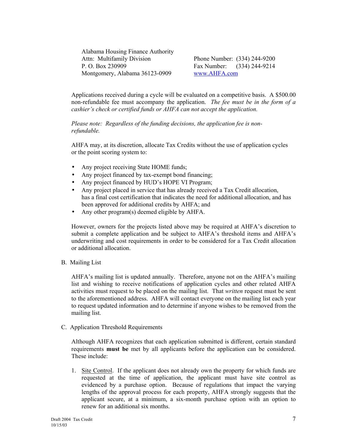Alabama Housing Finance Authority Attn: Multifamily Division Phone Number: (334) 244-9200 P. O. Box 230909 Fax Number: (334) 244-9214 Montgomery, Alabama 36123-0909 www.AHFA.com

Applications received during a cycle will be evaluated on a competitive basis. A \$500.00 non-refundable fee must accompany the application. *The fee must be in the form of a*  cashier's check or certified funds or AHFA can not accept the application.

 *Please note: Regardless of the funding decisions, the application fee is non refundable.* 

 AHFA may, at its discretion, allocate Tax Credits without the use of application cycles or the point scoring system to:

- Any project receiving State HOME funds;
- Any project financed by tax-exempt bond financing;
- Any project financed by HUD's HOPE VI Program;
- Any project placed in service that has already received a Tax Credit allocation, has a final cost certification that indicates the need for additional allocation, and has been approved for additional credits by AHFA; and
- Any other program(s) deemed eligible by AHFA.

However, owners for the projects listed above may be required at AHFA's discretion to submit a complete application and be subject to AHFA's threshold items and AHFA's underwriting and cost requirements in order to be considered for a Tax Credit allocation or additional allocation.

B. Mailing List

AHFA's mailing list is updated annually. Therefore, anyone not on the AHFA's mailing list and wishing to receive notifications of application cycles and other related AHFA activities must request to be placed on the mailing list. That *written* request must be sent to the aforementioned address. AHFA will contact everyone on the mailing list each year to request updated information and to determine if anyone wishes to be removed from the mailing list.

C. Application Threshold Requirements

Although AHFA recognizes that each application submitted is different, certain standard requirements **must be** met by all applicants before the application can be considered. These include:

1. Site Control. If the applicant does not already own the property for which funds are requested at the time of application, the applicant must have site control as evidenced by a purchase option. Because of regulations that impact the varying lengths of the approval process for each property, AHFA strongly suggests that the applicant secure, at a minimum, a six-month purchase option with an option to renew for an additional six months.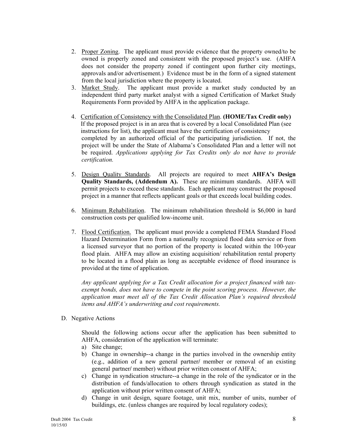- 2. Proper Zoning. The applicant must provide evidence that the property owned/to be owned is properly zoned and consistent with the proposed project's use. (AHFA does not consider the property zoned if contingent upon further city meetings, approvals and/or advertisement.) Evidence must be in the form of a signed statement from the local jurisdiction where the property is located.
- 3. Market Study. The applicant must provide a market study conducted by an independent third party market analyst with a signed Certification of Market Study Requirements Form provided by AHFA in the application package.
- 4. Certification of Consistency with the Consolidated Plan. **(HOME/Tax Credit only)**  If the proposed project is in an area that is covered by a local Consolidated Plan (see instructions for list), the applicant must have the certification of consistency completed by an authorized official of the participating jurisdiction. If not, the project will be under the State of Alabamaís Consolidated Plan and a letter will not be required. *Applications applying for Tax Credits only do not have to provide certification.*
- 5. Design Quality Standards. All projects are required to meet **AHFAís Design Quality Standards, (Addendum A).** These are minimum standards. AHFA will permit projects to exceed these standards. Each applicant may construct the proposed project in a manner that reflects applicant goals or that exceeds local building codes.
- 6. Minimum Rehabilitation. The minimum rehabilitation threshold is \$6,000 in hard construction costs per qualified low-income unit.
- 7. Flood Certification. The applicant must provide a completed FEMA Standard Flood Hazard Determination Form from a nationally recognized flood data service or from a licensed surveyor that no portion of the property is located within the 100-year flood plain. AHFA may allow an existing acquisition/ rehabilitation rental property to be located in a flood plain as long as acceptable evidence of flood insurance is provided at the time of application.

*Any applicant applying for a Tax Credit allocation for a project financed with taxexempt bonds, does not have to compete in the point scoring process. However, the application must meet all of the Tax Credit Allocation Planís required threshold items and AHFAís underwriting and cost requirements.* 

D. Negative Actions

 Should the following actions occur after the application has been submitted to AHFA, consideration of the application will terminate:

- a) Site change;
- b) Change in ownership--a change in the parties involved in the ownership entity (e.g., addition of a new general partner**/** member or removal of an existing general partner**/** member) without prior written consent of AHFA;
- c) Change in syndication structure--a change in the role of the syndicator or in the distribution of funds/allocation to others through syndication as stated in the application without prior written consent of AHFA;
- d) Change in unit design, square footage, unit mix, number of units, number of buildings, etc. (unless changes are required by local regulatory codes);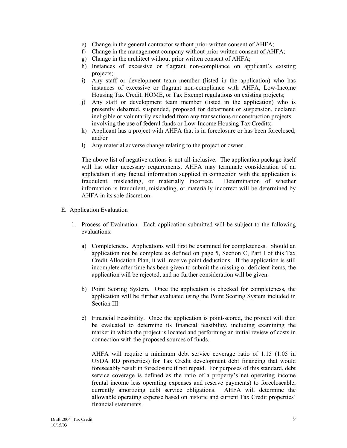- e) Change in the general contractor without prior written consent of AHFA;
- f) Change in the management company without prior written consent of AHFA;
- g) Change in the architect without prior written consent of AHFA;
- h) Instances of excessive or flagrant non-compliance on applicant's existing projects;
- i) Any staff or development team member (listed in the application) who has instances of excessive or flagrant non-compliance with AHFA, Low-Income Housing Tax Credit, HOME, or Tax Exempt regulations on existing projects;
- j) Any staff or development team member (listed in the application) who is presently debarred, suspended, proposed for debarment or suspension, declared ineligible or voluntarily excluded from any transactions or construction projects involving the use of federal funds or Low-Income Housing Tax Credits;
- k) Applicant has a project with AHFA that is in foreclosure or has been foreclosed; and/or
- l) Any material adverse change relating to the project or owner.

The above list of negative actions is not all-inclusive. The application package itself will list other necessary requirements. AHFA may terminate consideration of an application if any factual information supplied in connection with the application is fraudulent, misleading, or materially incorrect. Determination of whether information is fraudulent, misleading, or materially incorrect will be determined by AHFA in its sole discretion.

- E. Application Evaluation
	- 1. Process of Evaluation. Each application submitted will be subject to the following evaluations:
		- a) Completeness. Applications will first be examined for completeness. Should an application not be complete as defined on page 5, Section C, Part I of this Tax Credit Allocation Plan, it will receive point deductions. If the application is still incomplete after time has been given to submit the missing or deficient items, the application will be rejected, and no further consideration will be given.
		- b) Point Scoring System. Once the application is checked for completeness, the application will be further evaluated using the Point Scoring System included in Section III.
		- c) Financial Feasibility. Once the application is point-scored, the project will then be evaluated to determine its financial feasibility, including examining the market in which the project is located and performing an initial review of costs in connection with the proposed sources of funds.

AHFA will require a minimum debt service coverage ratio of 1.15 (1.05 in USDA RD properties) for Tax Credit development debt financing that would foreseeably result in foreclosure if not repaid. For purposes of this standard, debt service coverage is defined as the ratio of a property's net operating income (rental income less operating expenses and reserve payments) to forecloseable, currently amortizing debt service obligations. AHFA will determine the allowable operating expense based on historic and current Tax Credit properties<sup>7</sup> financial statements.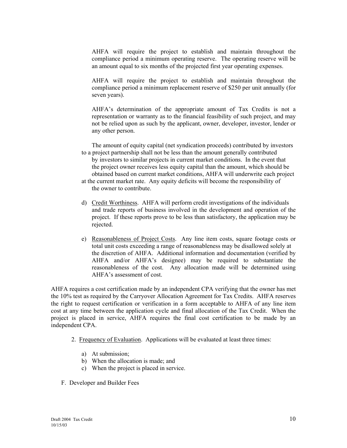AHFA will require the project to establish and maintain throughout the compliance period a minimum operating reserve. The operating reserve will be an amount equal to six months of the projected first year operating expenses.

AHFA will require the project to establish and maintain throughout the compliance period a minimum replacement reserve of \$250 per unit annually (for seven years).

AHFA's determination of the appropriate amount of Tax Credits is not a representation or warranty as to the financial feasibility of such project, and may not be relied upon as such by the applicant, owner, developer, investor, lender or any other person.

 The amount of equity capital (net syndication proceeds) contributed by investors to a project partnership shall not be less than the amount generally contributed

- by investors to similar projects in current market conditions. In the event that the project owner receives less equity capital than the amount, which should be obtained based on current market conditions, AHFA will underwrite each project
- at the current market rate. Any equity deficits will become the responsibility of the owner to contribute.
- d) Credit Worthiness. AHFA will perform credit investigations of the individuals and trade reports of business involved in the development and operation of the project. If these reports prove to be less than satisfactory, the application may be rejected.
- e) Reasonableness of Project Costs. Any line item costs, square footage costs or total unit costs exceeding a range of reasonableness may be disallowed solely at the discretion of AHFA. Additional information and documentation (verified by AHFA and/or AHFA's designee) may be required to substantiate the reasonableness of the cost. Any allocation made will be determined using AHFA's assessment of cost.

AHFA requires a cost certification made by an independent CPA verifying that the owner has met the 10% test as required by the Carryover Allocation Agreement for Tax Credits. AHFA reserves the right to request certification or verification in a form acceptable to AHFA of any line item cost at any time between the application cycle and final allocation of the Tax Credit. When the project is placed in service, AHFA requires the final cost certification to be made by an independent CPA.

- 2. Frequency of Evaluation. Applications will be evaluated at least three times:
	- a) At submission;
	- b) When the allocation is made; and
	- c) When the project is placed in service.
- F. Developer and Builder Fees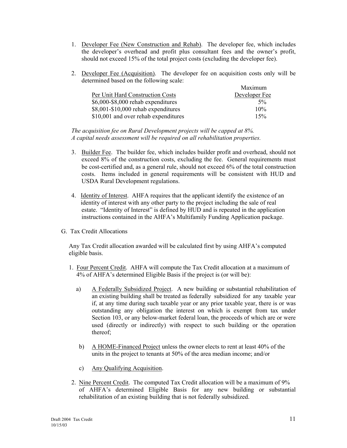- 1. Developer Fee (New Construction and Rehab). The developer fee, which includes the developer's overhead and profit plus consultant fees and the owner's profit, should not exceed 15% of the total project costs (excluding the developer fee).
- 2. Developer Fee (Acquisition). The developer fee on acquisition costs only will be determined based on the following scale:

|                                      | Maximum       |
|--------------------------------------|---------------|
| Per Unit Hard Construction Costs     | Developer Fee |
| $$6,000$ -\$8,000 rehab expenditures | $5\%$         |
| $$8,001-\$10,000$ rehab expenditures | 10%           |
| \$10,001 and over rehab expenditures | 15%           |

*The acquisition fee on Rural Development projects will be capped at 8%. A capital needs assessment will be required on all rehabilitation properties.* 

- 3. Builder Fee. The builder fee, which includes builder profit and overhead, should not exceed 8% of the construction costs, excluding the fee. General requirements must be cost-certified and, as a general rule, should not exceed 6% of the total construction costs. Items included in general requirements will be consistent with HUD and USDA Rural Development regulations.
- 4. Identity of Interest. AHFA requires that the applicant identify the existence of an identity of interest with any other party to the project including the sale of real estate. "Identity of Interest" is defined by HUD and is repeated in the application instructions contained in the AHFA's Multifamily Funding Application package.
- G. Tax Credit Allocations

Any Tax Credit allocation awarded will be calculated first by using AHFA's computed eligible basis.

- 1. Four Percent Credit. AHFA will compute the Tax Credit allocation at a maximum of 4% of AHFAís determined Eligible Basis if the project is (or will be):
	- a) A Federally Subsidized Project. A new building or substantial rehabilitation of an existing building shall be treated as federally subsidized for any taxable year if, at any time during such taxable year or any prior taxable year, there is or was outstanding any obligation the interest on which is exempt from tax under Section 103, or any below-market federal loan, the proceeds of which are or were used (directly or indirectly) with respect to such building or the operation thereof;
	- b) A HOME-Financed Project unless the owner elects to rent at least 40% of the units in the project to tenants at 50% of the area median income; and/or
	- c) Any Qualifying Acquisition.
- 2. Nine Percent Credit. The computed Tax Credit allocation will be a maximum of 9% of AHFAís determined Eligible Basis for any new building or substantial rehabilitation of an existing building that is not federally subsidized.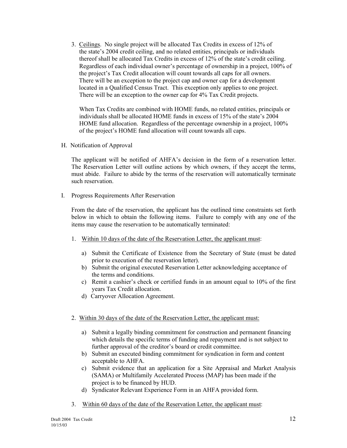3. Ceilings. No single project will be allocated Tax Credits in excess of 12% of the state's 2004 credit ceiling, and no related entities, principals or individuals thereof shall be allocated Tax Credits in excess of  $12\%$  of the state's credit ceiling. Regardless of each individual owner's percentage of ownership in a project, 100% of the project's Tax Credit allocation will count towards all caps for all owners. There will be an exception to the project cap and owner cap for a development located in a Qualified Census Tract. This exception only applies to one project. There will be an exception to the owner cap for 4% Tax Credit projects.

 When Tax Credits are combined with HOME funds, no related entities, principals or individuals shall be allocated HOME funds in excess of 15% of the state's 2004 HOME fund allocation. Regardless of the percentage ownership in a project, 100% of the project's HOME fund allocation will count towards all caps.

H. Notification of Approval

The applicant will be notified of AHFA's decision in the form of a reservation letter. The Reservation Letter will outline actions by which owners, if they accept the terms, must abide. Failure to abide by the terms of the reservation will automatically terminate such reservation.

I. Progress Requirements After Reservation

From the date of the reservation, the applicant has the outlined time constraints set forth below in which to obtain the following items. Failure to comply with any one of the items may cause the reservation to be automatically terminated:

- 1. Within 10 days of the date of the Reservation Letter, the applicant must:
	- a) Submit the Certificate of Existence from the Secretary of State (must be dated prior to execution of the reservation letter).
	- b) Submit the original executed Reservation Letter acknowledging acceptance of the terms and conditions.
	- c) Remit a cashier's check or certified funds in an amount equal to  $10\%$  of the first years Tax Credit allocation.
	- d) Carryover Allocation Agreement.

#### 2. Within 30 days of the date of the Reservation Letter, the applicant must:

- a) Submit a legally binding commitment for construction and permanent financing which details the specific terms of funding and repayment and is not subject to further approval of the creditor's board or credit committee.
- b) Submit an executed binding commitment for syndication in form and content acceptable to AHFA.
- c) Submit evidence that an application for a Site Appraisal and Market Analysis (SAMA) or Multifamily Accelerated Process (MAP) has been made if the project is to be financed by HUD.
- d) Syndicator Relevant Experience Form in an AHFA provided form.
- 3. Within 60 days of the date of the Reservation Letter, the applicant must: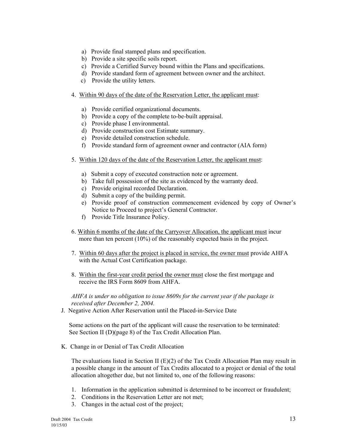- a) Provide final stamped plans and specification.
- b) Provide a site specific soils report.
- c) Provide a Certified Survey bound within the Plans and specifications.
- d) Provide standard form of agreement between owner and the architect.
- c) Provide the utility letters.
- 4. Within 90 days of the date of the Reservation Letter, the applicant must:
	- a) Provide certified organizational documents.
	- b) Provide a copy of the complete to-be-built appraisal.
	- c) Provide phase I environmental.
	- d) Provide construction cost Estimate summary.
	- e) Provide detailed construction schedule.
	- f) Provide standard form of agreement owner and contractor (AIA form)
- 5. Within 120 days of the date of the Reservation Letter, the applicant must:
	- a) Submit a copy of executed construction note or agreement.
	- b) Take full possession of the site as evidenced by the warranty deed.
	- c) Provide original recorded Declaration.
	- d) Submit a copy of the building permit.
	- e) Provide proof of construction commencement evidenced by copy of Owner's Notice to Proceed to project's General Contractor.
	- f) Provide Title Insurance Policy.
- 6. Within 6 months of the date of the Carryover Allocation, the applicant must incur more than ten percent (10%) of the reasonably expected basis in the project.
- 7. Within 60 days after the project is placed in service, the owner must provide AHFA with the Actual Cost Certification package.
- 8. Within the first-year credit period the owner must close the first mortgage and receive the IRS Form 8609 from AHFA.

 *AHFA is under no obligation to issue 8609s for the current year if the package is received after December 2, 2004.* 

J. Negative Action After Reservation until the Placed-in-Service Date

 Some actions on the part of the applicant will cause the reservation to be terminated: See Section II (D)(page 8) of the Tax Credit Allocation Plan.

K. Change in or Denial of Tax Credit Allocation

The evaluations listed in Section II (E)(2) of the Tax Credit Allocation Plan may result in a possible change in the amount of Tax Credits allocated to a project or denial of the total allocation altogether due, but not limited to, one of the following reasons:

- 1. Information in the application submitted is determined to be incorrect or fraudulent;
- 2. Conditions in the Reservation Letter are not met;
- 3. Changes in the actual cost of the project;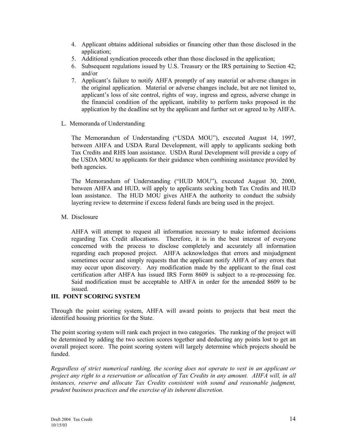- 4. Applicant obtains additional subsidies or financing other than those disclosed in the application;
- 5. Additional syndication proceeds other than those disclosed in the application;
- 6. Subsequent regulations issued by U.S. Treasury or the IRS pertaining to Section 42; and/or
- 7. Applicantís failure to notify AHFA promptly of any material or adverse changes in the original application. Material or adverse changes include, but are not limited to, applicant's loss of site control, rights of way, ingress and egress, adverse change in the financial condition of the applicant, inability to perform tasks proposed in the application by the deadline set by the applicant and further set or agreed to by AHFA.
- L. Memoranda of Understanding

The Memorandum of Understanding ("USDA MOU"), executed August 14, 1997, between AHFA and USDA Rural Development, will apply to applicants seeking both Tax Credits and RHS loan assistance. USDA Rural Development will provide a copy of the USDA MOU to applicants for their guidance when combining assistance provided by both agencies.

The Memorandum of Understanding ("HUD MOU"), executed August 30, 2000, between AHFA and HUD, will apply to applicants seeking both Tax Credits and HUD loan assistance. The HUD MOU gives AHFA the authority to conduct the subsidy layering review to determine if excess federal funds are being used in the project.

#### M. Disclosure

AHFA will attempt to request all information necessary to make informed decisions regarding Tax Credit allocations. Therefore, it is in the best interest of everyone concerned with the process to disclose completely and accurately all information regarding each proposed project. AHFA acknowledges that errors and misjudgment sometimes occur and simply requests that the applicant notify AHFA of any errors that may occur upon discovery. Any modification made by the applicant to the final cost certification after AHFA has issued IRS Form 8609 is subject to a re-processing fee. Said modification must be acceptable to AHFA in order for the amended 8609 to be issued.

#### **III. POINT SCORING SYSTEM**

Through the point scoring system, AHFA will award points to projects that best meet the identified housing priorities for the State.

The point scoring system will rank each project in two categories. The ranking of the project will be determined by adding the two section scores together and deducting any points lost to get an overall project score. The point scoring system will largely determine which projects should be funded.

*Regardless of strict numerical ranking, the scoring does not operate to vest in an applicant or project any right to a reservation or allocation of Tax Credits in any amount. AHFA will, in all*  instances, reserve and allocate Tax Credits consistent with sound and reasonable judgment, *prudent business practices and the exercise of its inherent discretion.*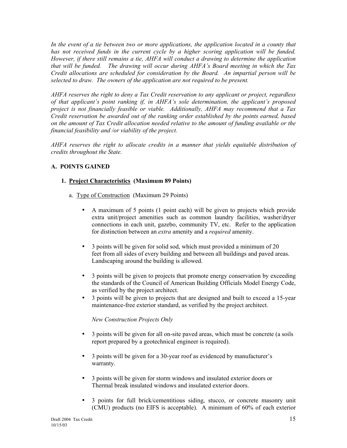In the event of a tie between two or more applications, the application located in a county that has not received funds in the current cycle by a higher scoring application will be funded. *However, if there still remains a tie, AHFA will conduct a drawing to determine the application that will be funded. The drawing will occur during AHFAís Board meeting in which the Tax Credit allocations are scheduled for consideration by the Board. An impartial person will be selected to draw. The owners of the application are not required to be present.* 

*AHFA reserves the right to deny a Tax Credit reservation to any applicant or project, regardless*  of that applicant's point ranking if, in AHFA's sole determination, the applicant's proposed *project is not financially feasible or viable. Additionally, AHFA may recommend that a Tax Credit reservation be awarded out of the ranking order established by the points earned, based on the amount of Tax Credit allocation needed relative to the amount of funding available or the financial feasibility and /or viability of the project.* 

*AHFA reserves the right to allocate credits in a manner that yields equitable distribution of credits throughout the State.* 

#### **A. POINTS GAINED**

#### **1. Project Characteristics (Maximum 89 Points)**

- a. Type of Construction (Maximum 29 Points)
	- A maximum of 5 points (1 point each) will be given to projects which provide extra unit/project amenities such as common laundry facilities, washer/dryer connections in each unit, gazebo, community TV, etc. Refer to the application for distinction between an *extra* amenity and a *required* amenity.
	- 3 points will be given for solid sod, which must provided a minimum of 20 feet from all sides of every building and between all buildings and paved areas. Landscaping around the building is allowed.
	- 3 points will be given to projects that promote energy conservation by exceeding the standards of the Council of American Building Officials Model Energy Code, as verified by the project architect.
	- 3 points will be given to projects that are designed and built to exceed a 15-year maintenance-free exterior standard, as verified by the project architect.

*New Construction Projects Only* 

- 3 points will be given for all on-site paved areas, which must be concrete (a soils report prepared by a geotechnical engineer is required).
- 3 points will be given for a 30-year roof as evidenced by manufacturer's warranty.
- 3 points will be given for storm windows and insulated exterior doors or Thermal break insulated windows and insulated exterior doors.
- 3 points for full brick/cementitious siding, stucco, or concrete masonry unit (CMU) products (no EIFS is acceptable). A minimum of 60% of each exterior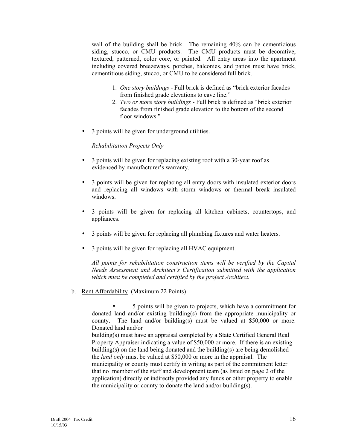wall of the building shall be brick. The remaining 40% can be cementicious siding, stucco, or CMU products. The CMU products must be decorative, textured, patterned, color core, or painted. All entry areas into the apartment including covered breezeways, porches, balconies, and patios must have brick, cementitious siding, stucco, or CMU to be considered full brick.

- 1. *One story buildings* Full brick is defined as "brick exterior facades" from finished grade elevations to eave line."
- 2. *Two or more story buildings* Full brick is defined as "brick exterior" facades from finished grade elevation to the bottom of the second floor windows."
- 3 points will be given for underground utilities.

#### *Rehabilitation Projects Only*

- 3 points will be given for replacing existing roof with a 30-year roof as evidenced by manufacturer's warranty.
- 3 points will be given for replacing all entry doors with insulated exterior doors and replacing all windows with storm windows or thermal break insulated windows.
- 3 points will be given for replacing all kitchen cabinets, countertops, and appliances.
- 3 points will be given for replacing all plumbing fixtures and water heaters.
- 3 points will be given for replacing all HVAC equipment.

 *All points for rehabilitation construction items will be verified by the Capital Needs Assessment and Architectís Certification submitted with the application which must be completed and certified by the project Architect.* 

b. Rent Affordability (Maximum 22 Points)

 • 5 points will be given to projects, which have a commitment for donated land and/or existing building(s) from the appropriate municipality or county. The land and/or building(s) must be valued at \$50,000 or more. Donated land and/or

 building(s) must have an appraisal completed by a State Certified General Real Property Appraiser indicating a value of \$50,000 or more. If there is an existing building(s) on the land being donated and the building(s) are being demolished the *land only* must be valued at \$50,000 or more in the appraisal. The municipality or county must certify in writing as part of the commitment letter that no member of the staff and development team (as listed on page 2 of the application) directly or indirectly provided any funds or other property to enable the municipality or county to donate the land and/or building(s).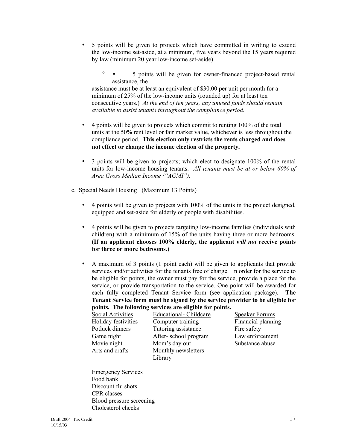- 5 points will be given to projects which have committed in writing to extend the low-income set-aside, at a minimum, five years beyond the 15 years required by law (minimum 20 year low-income set-aside).
	- • 5 points will be given for owner-financed project-based rental assistance, the

 assistance must be at least an equivalent of \$30.00 per unit per month for a minimum of 25% of the low-income units (rounded up) for at least ten consecutive years.) *At the end of ten years, any unused funds should remain available to assist tenants throughout the compliance period.* 

- 4 points will be given to projects which commit to renting 100% of the total units at the 50% rent level or fair market value, whichever is less throughout the compliance period. **This election only restricts the rents charged and does not effect or change the income election of the property.**
- 3 points will be given to projects; which elect to designate 100% of the rental units for low-income housing tenants. *All tenants must be at or below 60% of Area Gross Median Income ("AGMI").*
- c. Special Needs Housing (Maximum 13 Points)
	- 4 points will be given to projects with 100% of the units in the project designed, equipped and set-aside for elderly or people with disabilities.
	- 4 points will be given to projects targeting low-income families (individuals with children) with a minimum of 15% of the units having three or more bedrooms. **(If an applicant chooses 100% elderly, the applicant** *will not* **receive points for three or more bedrooms.)**
	- A maximum of 3 points (1 point each) will be given to applicants that provide services and/or activities for the tenants free of charge. In order for the service to be eligible for points, the owner must pay for the service, provide a place for the service, or provide transportation to the service. One point will be awarded for each fully completed Tenant Service form (see application package). **The Tenant Service form must be signed by the service provider to be eligible for points. The following services are eligible for points.**

Social Activities Educational- Childcare Speaker Forums Holiday festivities Computer training Financial planning Potluck dinners Tutoring assistance Fire safety Game night After-school program Law enforcement Movie night Mom's day out Substance abuse Arts and crafts Monthly newsletters Library

 Emergency Services Food bank Discount flu shots CPR classes Blood pressure screening Cholesterol checks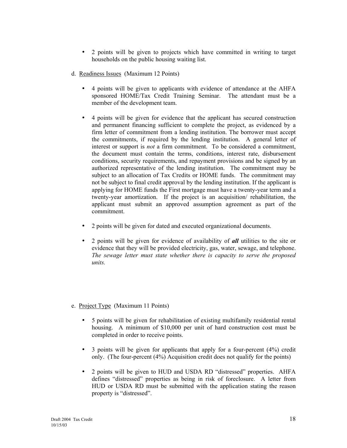- 2 points will be given to projects which have committed in writing to target households on the public housing waiting list.
- d. Readiness Issues (Maximum 12 Points)
	- 4 points will be given to applicants with evidence of attendance at the AHFA sponsored HOME/Tax Credit Training Seminar. The attendant must be a member of the development team.
	- 4 points will be given for evidence that the applicant has secured construction and permanent financing sufficient to complete the project, as evidenced by a firm letter of commitment from a lending institution. The borrower must accept the commitments, if required by the lending institution. A general letter of interest or support is *not* a firm commitment. To be considered a commitment, the document must contain the terms, conditions, interest rate, disbursement conditions, security requirements, and repayment provisions and be signed by an authorized representative of the lending institution. The commitment may be subject to an allocation of Tax Credits or HOME funds. The commitment may not be subject to final credit approval by the lending institution. If the applicant is applying for HOME funds the First mortgage must have a twenty-year term and a twenty-year amortization. If the project is an acquisition/ rehabilitation, the applicant must submit an approved assumption agreement as part of the commitment.
	- 2 points will be given for dated and executed organizational documents.
	- 2 points will be given for evidence of availability of *all* utilities to the site or evidence that they will be provided electricity, gas, water, sewage, and telephone. *The sewage letter must state whether there is capacity to serve the proposed units.*
- e. Project Type (Maximum 11 Points)
	- 5 points will be given for rehabilitation of existing multifamily residential rental housing. A minimum of \$10,000 per unit of hard construction cost must be completed in order to receive points.
	- 3 points will be given for applicants that apply for a four-percent (4%) credit only. (The four-percent (4%) Acquisition credit does not qualify for the points)
	- 2 points will be given to HUD and USDA RD "distressed" properties. AHFA defines "distressed" properties as being in risk of foreclosure. A letter from HUD or USDA RD must be submitted with the application stating the reason property is "distressed".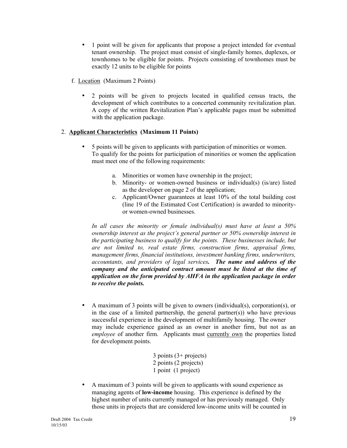- 1 point will be given for applicants that propose a project intended for eventual tenant ownership. The project must consist of single-family homes, duplexes, or townhomes to be eligible for points. Projects consisting of townhomes must be exactly 12 units to be eligible for points
- f. Location (Maximum 2 Points)
	- 2 points will be given to projects located in qualified census tracts, the development of which contributes to a concerted community revitalization plan. A copy of the written Revitalization Plan's applicable pages must be submitted with the application package.

#### 2. **Applicant Characteristics (Maximum 11 Points)**

- 5 points will be given to applicants with participation of minorities or women. To qualify for the points for participation of minorities or women the application must meet one of the following requirements:
	- a. Minorities or women have ownership in the project;
	- b. Minority- or women-owned business or individual(s) (is/are) listed as the developer on page 2 of the application;
	- c. Applicant/Owner guarantees at least 10% of the total building cost (line 19 of the Estimated Cost Certification) is awarded to minorityor women-owned businesses.

 *In all cases the minority or female individual(s) must have at least a 50% ownership interest as the project's general partner or 50% ownership interest in the participating business to qualify for the points. These businesses include, but are not limited to, real estate firms, construction firms, appraisal firms, management firms, financial institutions, investment banking firms, underwriters, accountants, and providers of legal services. The name and address of the company and the anticipated contract amount must be listed at the time of application on the form provided by AHFA in the application package in order to receive the points.*

- A maximum of 3 points will be given to owners (individual(s), corporation(s), or in the case of a limited partnership, the general partner(s)) who have previous successful experience in the development of multifamily housing. The owner may include experience gained as an owner in another firm, but not as an *employee* of another firm. Applicants must currently own the properties listed for development points.
	- 3 points (3+ projects) 2 points (2 projects) 1 point (1 project)
- A maximum of 3 points will be given to applicants with sound experience as managing agents of **low-income** housing. This experience is defined by the highest number of units currently managed or has previously managed. Only those units in projects that are considered low-income units will be counted in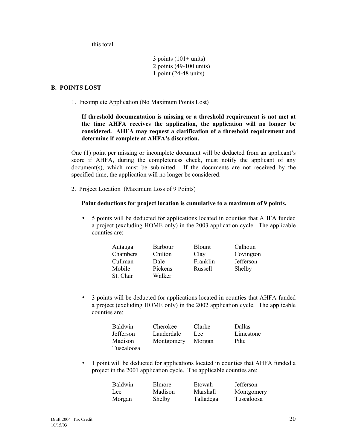this total.

 $3$  points  $(101+$  units) 2 points (49-100 units) 1 point (24-48 units)

#### **B. POINTS LOST**

1. Incomplete Application (No Maximum Points Lost)

**If threshold documentation is missing or a threshold requirement is not met at the time AHFA receives the application, the application will no longer be considered. AHFA may request a clarification of a threshold requirement and**  determine if complete at **AHFA**'s discretion.

One (1) point per missing or incomplete document will be deducted from an applicant's score if AHFA, during the completeness check, must notify the applicant of any document(s), which must be submitted. If the documents are not received by the specified time, the application will no longer be considered.

2. Project Location (Maximum Loss of 9 Points)

#### **Point deductions for project location is cumulative to a maximum of 9 points.**

• 5 points will be deducted for applications located in counties that AHFA funded a project (excluding HOME only) in the 2003 application cycle. The applicable counties are:

| Autauga   | Barbour | <b>Blount</b> | Calhoun   |
|-----------|---------|---------------|-----------|
| Chambers  | Chilton | Clay          | Covington |
| Cullman   | Dale    | Franklin      | Jefferson |
| Mobile    | Pickens | Russell       | Shelby    |
| St. Clair | Walker  |               |           |

• 3 points will be deducted for applications located in counties that AHFA funded a project (excluding HOME only) in the 2002 application cycle. The applicable counties are:

| <b>Baldwin</b> | Cherokee   | Clarke | Dallas    |
|----------------|------------|--------|-----------|
| Jefferson      | Lauderdale | Lee.   | Limestone |
| <b>Madison</b> | Montgomery | Morgan | Pike      |
| Tuscaloosa     |            |        |           |

• 1 point will be deducted for applications located in counties that AHFA funded a project in the 2001 application cycle. The applicable counties are:

| <b>Baldwin</b> | Elmore  | Etowah    | Jefferson  |
|----------------|---------|-----------|------------|
| Lee.           | Madison | Marshall  | Montgomery |
| Morgan         | Shelby  | Talladega | Tuscaloosa |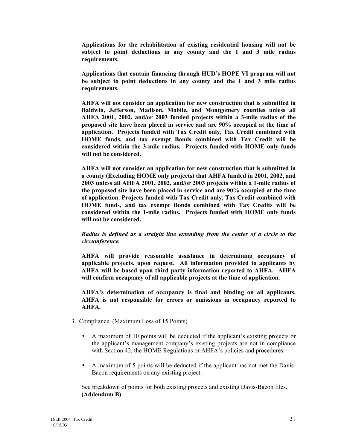**Applications for the rehabilitation of existing residential housing will not be subject to point deductions in any county and the 1 and 3 mile radius requirements.** 

**Applications that contain financing through HUDís HOPE VI program will not be subject to point deductions in any county and the 1 and 3 mile radius requirements.** 

**AHFA will not consider an application for new construction that is submitted in Baldwin, Jefferson, Madison, Mobile, and Montgomery counties unless all AHFA 2001, 2002, and/or 2003 funded projects within a 3-mile radius of the proposed site have been placed in service and are 90% occupied at the time of application. Projects funded with Tax Credit only, Tax Credit combined with HOME funds, and tax exempt Bonds combined with Tax Credit will be considered within the 3-mile radius. Projects funded with HOME only funds will not be considered.** 

**AHFA will not consider an application for new construction that is submitted in a county (Excluding HOME only projects) that AHFA funded in 2001, 2002, and 2003 unless all AHFA 2001, 2002, and/or 2003 projects within a 1-mile radius of the proposed site have been placed in service and are 90% occupied at the time of application. Projects funded with Tax Credit only, Tax Credit combined with HOME funds, and tax exempt Bonds combined with Tax Credits will be considered within the 1-mile radius. Projects funded with HOME only funds will not be considered.** 

*Radius is defined as a straight line extending from the center of a circle to the circumference.* 

**AHFA will provide reasonable assistance in determining occupancy of applicable projects, upon request. All information provided to applicants by AHFA will be based upon third party information reported to AHFA. AHFA will confirm occupancy of all applicable projects at the time of application.** 

**AHFAís determination of occupancy is final and binding on all applicants. AHFA is not responsible for errors or omissions in occupancy reported to AHFA.** 

- 3. Compliance (Maximum Loss of 15 Points)
	- A maximum of 10 points will be deducted if the applicant's existing projects or the applicant's management company's existing projects are not in compliance with Section 42, the HOME Regulations or AHFA's policies and procedures.
	- A maximum of 5 points will be deducted if the applicant has not met the Davis- Bacon requirements on any existing project.

See breakdown of points for both existing projects and existing Davis-Bacon files. **(Addendum B)**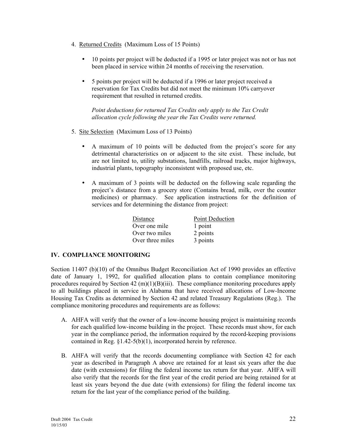- 4. Returned Credits (Maximum Loss of 15 Points)
	- 10 points per project will be deducted if a 1995 or later project was not or has not been placed in service within 24 months of receiving the reservation.
	- 5 points per project will be deducted if a 1996 or later project received a reservation for Tax Credits but did not meet the minimum 10% carryover requirement that resulted in returned credits.

 *Point deductions for returned Tax Credits only apply to the Tax Credit allocation cycle following the year the Tax Credits were returned.* 

- 5. Site Selection (Maximum Loss of 13 Points)
	- A maximum of 10 points will be deducted from the project's score for any detrimental characteristics on or adjacent to the site exist. These include, but are not limited to, utility substations, landfills, railroad tracks, major highways, industrial plants, topography inconsistent with proposed use, etc.
	- A maximum of 3 points will be deducted on the following scale regarding the project's distance from a grocery store (Contains bread, milk, over the counter medicines) or pharmacy. See application instructions for the definition of services and for determining the distance from project:

| Distance         | <b>Point Deduction</b> |
|------------------|------------------------|
| Over one mile    | 1 point                |
| Over two miles   | 2 points               |
| Over three miles | 3 points               |
|                  |                        |

#### **IV. COMPLIANCE MONITORING**

Section 11407 (b)(10) of the Omnibus Budget Reconciliation Act of 1990 provides an effective date of January 1, 1992, for qualified allocation plans to contain compliance monitoring procedures required by Section  $42 \text{ (m)}(1)(B)$ (iii). These compliance monitoring procedures apply to all buildings placed in service in Alabama that have received allocations of Low-Income Housing Tax Credits as determined by Section 42 and related Treasury Regulations (Reg.). The compliance monitoring procedures and requirements are as follows:

- A. AHFA will verify that the owner of a low-income housing project is maintaining records for each qualified low-income building in the project. These records must show, for each year in the compliance period, the information required by the record-keeping provisions contained in Reg. ß1.42-5(b)(1), incorporated herein by reference.
- B. AHFA will verify that the records documenting compliance with Section 42 for each year as described in Paragraph A above are retained for at least six years after the due date (with extensions) for filing the federal income tax return for that year. AHFA will also verify that the records for the first year of the credit period are being retained for at least six years beyond the due date (with extensions) for filing the federal income tax return for the last year of the compliance period of the building.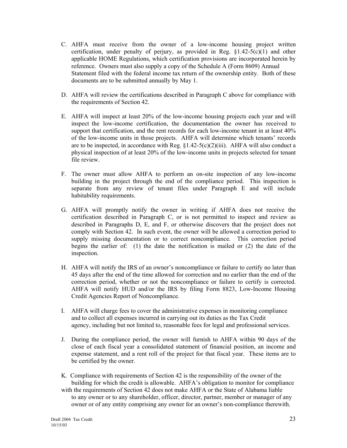- C. AHFA must receive from the owner of a low-income housing project written certification, under penalty of perjury, as provided in Reg.  $§1.42-5(c)(1)$  and other applicable HOME Regulations, which certification provisions are incorporated herein by reference. Owners must also supply a copy of the Schedule A (Form 8609) Annual Statement filed with the federal income tax return of the ownership entity. Both of these documents are to be submitted annually by May 1.
- D. AHFA will review the certifications described in Paragraph C above for compliance with the requirements of Section 42.
- E. AHFA will inspect at least 20% of the low-income housing projects each year and will inspect the low-income certification, the documentation the owner has received to support that certification, and the rent records for each low-income tenant in at least 40% of the low-income units in those projects. AHFA will determine which tenants' records are to be inspected, in accordance with Reg.  $\S1.42-5(c)(2)(iii)$ . AHFA will also conduct a physical inspection of at least 20% of the low-income units in projects selected for tenant file review.
- F. The owner must allow AHFA to perform an on-site inspection of any low-income building in the project through the end of the compliance period. This inspection is separate from any review of tenant files under Paragraph E and will include habitability requirements.
- G. AHFA will promptly notify the owner in writing if AHFA does not receive the certification described in Paragraph C, or is not permitted to inspect and review as described in Paragraphs D, E, and F, or otherwise discovers that the project does not comply with Section 42. In such event, the owner will be allowed a correction period to supply missing documentation or to correct noncompliance. This correction period begins the earlier of: (1) the date the notification is mailed or (2) the date of the inspection.
- H. AHFA will notify the IRS of an owner's noncompliance or failure to certify no later than 45 days after the end of the time allowed for correction and no earlier than the end of the correction period, whether or not the noncompliance or failure to certify is corrected. AHFA will notify HUD and/or the IRS by filing Form 8823, Low-Income Housing Credit Agencies Report of Noncompliance.
- I. AHFA will charge fees to cover the administrative expenses in monitoring compliance and to collect all expenses incurred in carrying out its duties as the Tax Credit agency, including but not limited to, reasonable fees for legal and professional services.
- J. During the compliance period, the owner will furnish to AHFA within 90 days of the close of each fiscal year a consolidated statement of financial position, an income and expense statement, and a rent roll of the project for that fiscal year. These items are to be certified by the owner.
- K. Compliance with requirements of Section 42 is the responsibility of the owner of the building for which the credit is allowable. AHFA's obligation to monitor for compliance
- with the requirements of Section 42 does not make AHFA or the State of Alabama liable to any owner or to any shareholder, officer, director, partner, member or manager of any owner or of any entity comprising any owner for an owner's non-compliance therewith.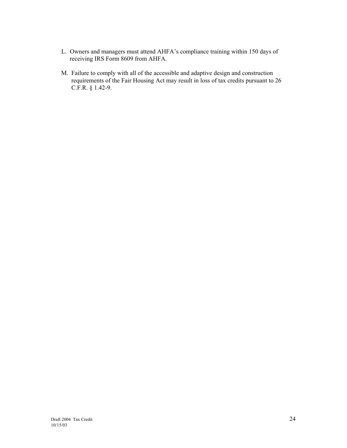- L. Owners and managers must attend AHFA's compliance training within 150 days of receiving IRS Form 8609 from AHFA.
- M. Failure to comply with all of the accessible and adaptive design and construction requirements of the Fair Housing Act may result in loss of tax credits pursuant to 26 C.F.R. ß 1.42-9.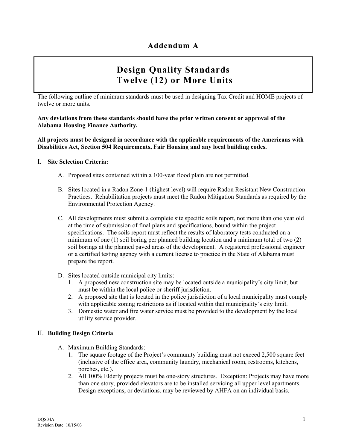# **Design Quality Standards Twelve (12) or More Units**

The following outline of minimum standards must be used in designing Tax Credit and HOME projects of twelve or more units.

**Any deviations from these standards should have the prior written consent or approval of the Alabama Housing Finance Authority.** 

**All projects must be designed in accordance with the applicable requirements of the Americans with Disabilities Act, Section 504 Requirements, Fair Housing and any local building codes.** 

#### I. **Site Selection Criteria:**

- A. Proposed sites contained within a 100-year flood plain are not permitted.
- B. Sites located in a Radon Zone-1 (highest level) will require Radon Resistant New Construction Practices. Rehabilitation projects must meet the Radon Mitigation Standards as required by the Environmental Protection Agency.
- C. All developments must submit a complete site specific soils report, not more than one year old at the time of submission of final plans and specifications, bound within the project specifications. The soils report must reflect the results of laboratory tests conducted on a minimum of one (1) soil boring per planned building location and a minimum total of two (2) soil borings at the planned paved areas of the development. A registered professional engineer or a certified testing agency with a current license to practice in the State of Alabama must prepare the report.
- D. Sites located outside municipal city limits:
	- 1. A proposed new construction site may be located outside a municipalityís city limit, but must be within the local police or sheriff jurisdiction.
	- 2. A proposed site that is located in the police jurisdiction of a local municipality must comply with applicable zoning restrictions as if located within that municipality's city limit.
	- 3. Domestic water and fire water service must be provided to the development by the local utility service provider.

#### II. **Building Design Criteria**

- A. Maximum Building Standards:
	- 1. The square footage of the Project's community building must not exceed 2,500 square feet (inclusive of the office area, community laundry, mechanical room, restrooms, kitchens, porches, etc.).
	- 2. All 100% Elderly projects must be one-story structures. Exception: Projects may have more than one story, provided elevators are to be installed servicing all upper level apartments. Design exceptions, or deviations, may be reviewed by AHFA on an individual basis.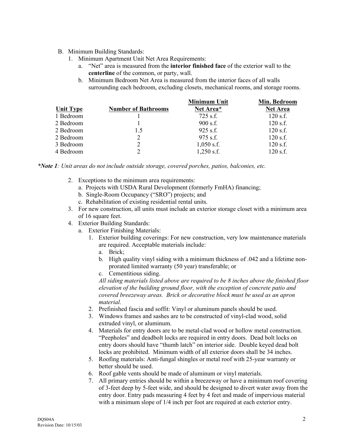#### B. Minimum Building Standards:

- 1. Minimum Apartment Unit Net Area Requirements:
	- a. "Net" area is measured from the **interior finished face** of the exterior wall to the **centerline** of the common, or party, wall.
	- b. Minimum Bedroom Net Area is measured from the interior faces of all walls surrounding each bedroom, excluding closets, mechanical rooms, and storage rooms.

|           |                            | <b>Minimum Unit</b> | Min. Bedroom    |
|-----------|----------------------------|---------------------|-----------------|
| Unit Type | <b>Number of Bathrooms</b> | Net Area*           | <b>Net Area</b> |
| 1 Bedroom |                            | $725$ s.f.          | $120$ s.f.      |
| 2 Bedroom |                            | $900$ s.f.          | $120$ s.f.      |
| 2 Bedroom | 1.5                        | $925$ s.f.          | $120$ s.f.      |
| 2 Bedroom | 2                          | $975$ s.f.          | $120$ s.f.      |
| 3 Bedroom | 2                          | $1,050$ s.f.        | $120$ s.f.      |
| 4 Bedroom | $\overline{2}$             | $1,250$ s.f.        | $120$ s.f.      |

*\*Note 1: Unit areas do not include outside storage, covered porches, patios, balconies, etc.* 

- 2. Exceptions to the minimum area requirements:
	- a. Projects with USDA Rural Development (formerly FmHA) financing;
	- b. Single-Room Occupancy ("SRO") projects; and
	- c. Rehabilitation of existing residential rental units.
- 3. For new construction, all units must include an exterior storage closet with a minimum area of 16 square feet.
- 4. Exterior Building Standards:
	- a. Exterior Finishing Materials:
		- 1. Exterior building coverings: For new construction, very low maintenance materials are required. Acceptable materials include:
			- a. Brick;
			- b. High quality vinyl siding with a minimum thickness of .042 and a lifetime nonprorated limited warranty (50 year) transferable; or
			- c. Cementitious siding.

*All siding materials listed above are required to be 8 inches above the finished floor elevation of the building ground floor, with the exception of concrete patio and covered breezeway areas. Brick or decorative block must be used as an apron material.* 

- 2. Prefinished fascia and soffit: Vinyl or aluminum panels should be used.
- 3. Windows frames and sashes are to be constructed of vinyl-clad wood, solid extruded vinyl, or aluminum.
- 4. Materials for entry doors are to be metal-clad wood or hollow metal construction. ìPeepholesî and deadbolt locks are required in entry doors. Dead bolt locks on entry doors should have "thumb latch" on interior side. Double keyed dead bolt locks are prohibited. Minimum width of all exterior doors shall be 34 inches.
- 5. Roofing materials: Anti-fungal shingles or metal roof with 25-year warranty or better should be used.
- 6. Roof gable vents should be made of aluminum or vinyl materials.
- 7. All primary entries should be within a breezeway or have a minimum roof covering of 3-feet deep by 5-feet wide, and should be designed to divert water away from the entry door. Entry pads measuring 4 feet by 4 feet and made of impervious material with a minimum slope of 1/4 inch per foot are required at each exterior entry.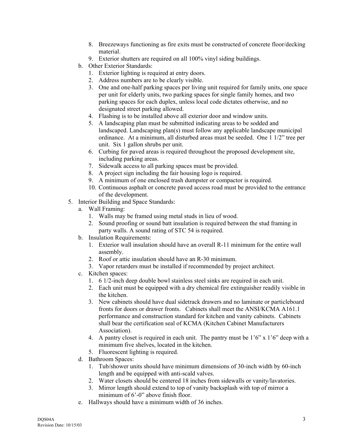- 8. Breezeways functioning as fire exits must be constructed of concrete floor/decking material.
- 9. Exterior shutters are required on all 100% vinyl siding buildings.
- b. Other Exterior Standards:
	- 1. Exterior lighting is required at entry doors.
	- 2. Address numbers are to be clearly visible.
	- 3. One and one-half parking spaces per living unit required for family units, one space per unit for elderly units, two parking spaces for single family homes, and two parking spaces for each duplex, unless local code dictates otherwise, and no designated street parking allowed.
	- 4. Flashing is to be installed above all exterior door and window units.
	- 5. A landscaping plan must be submitted indicating areas to be sodded and landscaped. Landscaping plan(s) must follow any applicable landscape municipal ordinance. At a minimum, all disturbed areas must be seeded. One  $1\frac{1}{2}$  tree per unit. Six 1 gallon shrubs per unit.
	- 6. Curbing for paved areas is required throughout the proposed development site, including parking areas.
	- 7. Sidewalk access to all parking spaces must be provided.
	- 8. A project sign including the fair housing logo is required.
	- 9. A minimum of one enclosed trash dumpster or compactor is required.
	- 10. Continuous asphalt or concrete paved access road must be provided to the entrance of the development.
- 5. Interior Building and Space Standards:
	- a. Wall Framing:
		- 1. Walls may be framed using metal studs in lieu of wood.
		- 2. Sound proofing or sound batt insulation is required between the stud framing in party walls. A sound rating of STC 54 is required.
	- b. Insulation Requirements:
		- 1. Exterior wall insulation should have an overall R-11 minimum for the entire wall assembly.
		- 2. Roof or attic insulation should have an R-30 minimum.
		- 3. Vapor retarders must be installed if recommended by project architect.
	- c. Kitchen spaces:
		- 1. 6 1/2-inch deep double bowl stainless steel sinks are required in each unit.
		- 2. Each unit must be equipped with a dry chemical fire extinguisher readily visible in the kitchen.
		- 3. New cabinets should have dual sidetrack drawers and no laminate or particleboard fronts for doors or drawer fronts. Cabinets shall meet the ANSI/KCMA A161.1 performance and construction standard for kitchen and vanity cabinets. Cabinets shall bear the certification seal of KCMA (Kitchen Cabinet Manufacturers Association).
		- 4. A pantry closet is required in each unit. The pantry must be  $1'6''$  x  $1'6''$  deep with a minimum five shelves, located in the kitchen.
		- 5. Fluorescent lighting is required.
	- d. Bathroom Spaces:
		- 1. Tub/shower units should have minimum dimensions of 30-inch width by 60-inch length and be equipped with anti-scald valves.
		- 2. Water closets should be centered 18 inches from sidewalls or vanity/lavatories.
		- 3. Mirror length should extend to top of vanity backsplash with top of mirror a minimum of  $6^{\circ}$ -0" above finish floor.
	- e. Hallways should have a minimum width of 36 inches.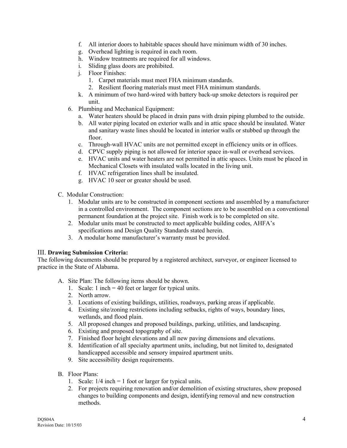- f. All interior doors to habitable spaces should have minimum width of 30 inches.
- g. Overhead lighting is required in each room.
- h. Window treatments are required for all windows.
- i. Sliding glass doors are prohibited.
- j. Floor Finishes:
	- 1. Carpet materials must meet FHA minimum standards.
	- 2. Resilient flooring materials must meet FHA minimum standards.
- k. A minimum of two hard-wired with battery back-up smoke detectors is required per unit.
- 6. Plumbing and Mechanical Equipment:
	- a. Water heaters should be placed in drain pans with drain piping plumbed to the outside.
	- b. All water piping located on exterior walls and in attic space should be insulated. Water and sanitary waste lines should be located in interior walls or stubbed up through the floor.
	- c. Through-wall HVAC units are not permitted except in efficiency units or in offices.
	- d. CPVC supply piping is not allowed for interior space in-wall or overhead services.
	- e. HVAC units and water heaters are not permitted in attic spaces. Units must be placed in Mechanical Closets with insulated walls located in the living unit.
	- f. HVAC refrigeration lines shall be insulated.
	- g. HVAC 10 seer or greater should be used.
- C. Modular Construction:
	- 1. Modular units are to be constructed in component sections and assembled by a manufacturer in a controlled environment. The component sections are to be assembled on a conventional permanent foundation at the project site. Finish work is to be completed on site.
	- 2. Modular units must be constructed to meet applicable building codes, AHFAís specifications and Design Quality Standards stated herein.
	- 3. A modular home manufacturer's warranty must be provided.

#### III. **Drawing Submission Criteria:**

The following documents should be prepared by a registered architect, surveyor, or engineer licensed to practice in the State of Alabama.

- A. Site Plan: The following items should be shown.
	- 1. Scale: 1 inch = 40 feet or larger for typical units.
	- 2. North arrow.
	- 3. Locations of existing buildings, utilities, roadways, parking areas if applicable.
	- 4. Existing site/zoning restrictions including setbacks, rights of ways, boundary lines, wetlands, and flood plain.
	- 5. All proposed changes and proposed buildings, parking, utilities, and landscaping.
	- 6. Existing and proposed topography of site.
	- 7. Finished floor height elevations and all new paving dimensions and elevations.
	- 8. Identification of all specialty apartment units, including, but not limited to, designated handicapped accessible and sensory impaired apartment units.
	- 9. Site accessibility design requirements.
- B. Floor Plans:
	- 1. Scale:  $1/4$  inch = 1 foot or larger for typical units.
	- 2. For projects requiring renovation and/or demolition of existing structures, show proposed changes to building components and design, identifying removal and new construction methods.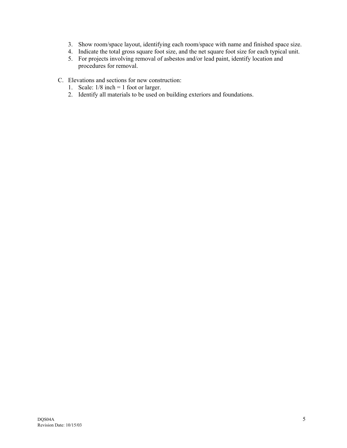- 3. Show room/space layout, identifying each room/space with name and finished space size.
- 4. Indicate the total gross square foot size, and the net square foot size for each typical unit.
- 5. For projects involving removal of asbestos and/or lead paint, identify location and procedures for removal.
- C. Elevations and sections for new construction:
	- 1. Scale:  $1/8$  inch = 1 foot or larger.
	- 2. Identify all materials to be used on building exteriors and foundations.